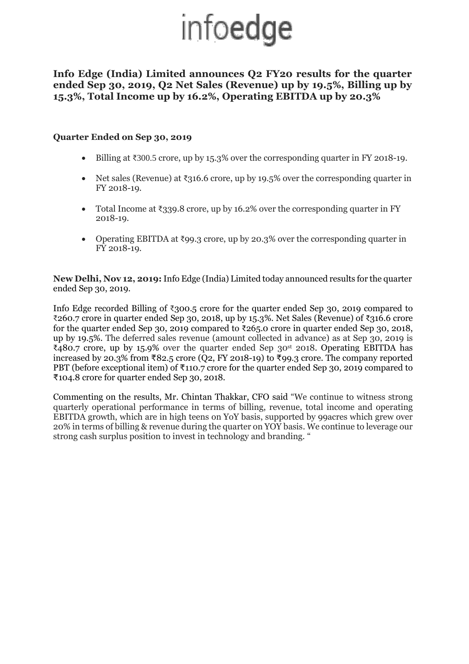# infoedge

### **Info Edge (India) Limited announces Q2 FY20 results for the quarter ended Sep 30, 2019, Q2 Net Sales (Revenue) up by 19.5%, Billing up by 15.3%, Total Income up by 16.2%, Operating EBITDA up by 20.3%**

#### **Quarter Ended on Sep 30, 2019**

- Billing at  $\text{\textsterling}300.5$  crore, up by 15.3% over the corresponding quarter in FY 2018-19.
- Net sales (Revenue) at  $\overline{\xi}316.6$  crore, up by 19.5% over the corresponding quarter in FY 2018-19.
- Total Income at ₹339.8 crore, up by 16.2% over the corresponding quarter in FY 2018-19.
- Operating EBITDA at  $\text{\textdegree{99.3}}$  crore, up by 20.3% over the corresponding quarter in FY 2018-19.

**New Delhi, Nov 12, 2019:** Info Edge (India) Limited today announced results for the quarter ended Sep 30, 2019.

Info Edge recorded Billing of ₹300.5 crore for the quarter ended Sep 30, 2019 compared to ₹260.7 crore in quarter ended Sep 30, 2018, up by 15.3%. Net Sales (Revenue) of ₹316.6 crore for the quarter ended Sep 30, 2019 compared to ₹265.0 crore in quarter ended Sep 30, 2018, up by 19.5%. The deferred sales revenue (amount collected in advance) as at Sep 30, 2019 is ₹480.7 crore, up by 15.9% over the quarter ended Sep 30st 2018. Operating EBITDA has increased by 20.3% from ₹82.5 crore (Q2, FY 2018-19) to ₹99.3 crore. The company reported PBT (before exceptional item) of ₹110.7 crore for the quarter ended Sep 30, 2019 compared to ₹104.8 crore for quarter ended Sep 30, 2018.

Commenting on the results, Mr. Chintan Thakkar, CFO said "We continue to witness strong quarterly operational performance in terms of billing, revenue, total income and operating EBITDA growth, which are in high teens on YoY basis, supported by 99acres which grew over 20% in terms of billing & revenue during the quarter on YOY basis. We continue to leverage our strong cash surplus position to invest in technology and branding. "